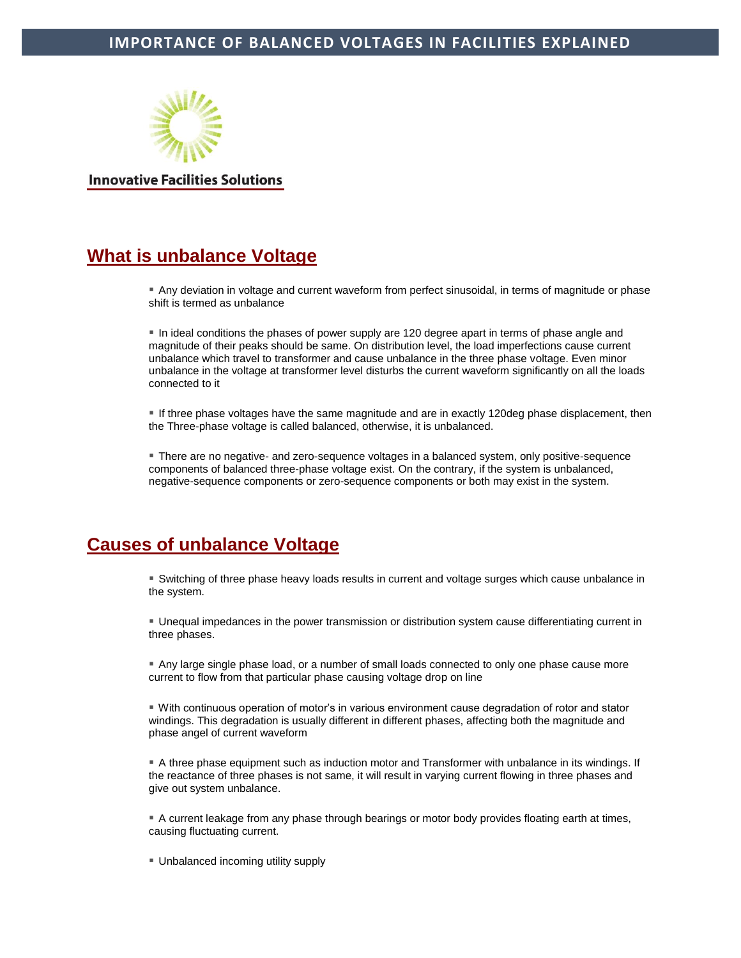

**Innovative Facilities Solutions** 

# **What is unbalance Voltage**

 Any deviation in voltage and current waveform from perfect sinusoidal, in terms of magnitude or phase shift is termed as unbalance

In ideal conditions the phases of power supply are 120 degree apart in terms of phase angle and magnitude of their peaks should be same. On distribution level, the load imperfections cause current unbalance which travel to transformer and cause unbalance in the three phase voltage. Even minor unbalance in the voltage at transformer level disturbs the current waveform significantly on all the loads connected to it

 If three phase voltages have the same magnitude and are in exactly 120deg phase displacement, then the Three-phase voltage is called balanced, otherwise, it is unbalanced.

 There are no negative- and zero-sequence voltages in a balanced system, only positive-sequence components of balanced three-phase voltage exist. On the contrary, if the system is unbalanced, negative-sequence components or zero-sequence components or both may exist in the system.

# **Causes of unbalance Voltage**

 Switching of three phase heavy loads results in current and voltage surges which cause unbalance in the system.

 Unequal impedances in the power transmission or distribution system cause differentiating current in three phases.

 Any large single phase load, or a number of small loads connected to only one phase cause more current to flow from that particular phase causing voltage drop on line

 With continuous operation of motor's in various environment cause degradation of rotor and stator windings. This degradation is usually different in different phases, affecting both the magnitude and phase angel of current waveform

 A three phase equipment such as induction motor and Transformer with unbalance in its windings. If the reactance of three phases is not same, it will result in varying current flowing in three phases and give out system unbalance.

 A current leakage from any phase through bearings or motor body provides floating earth at times, causing fluctuating current.

Unbalanced incoming utility supply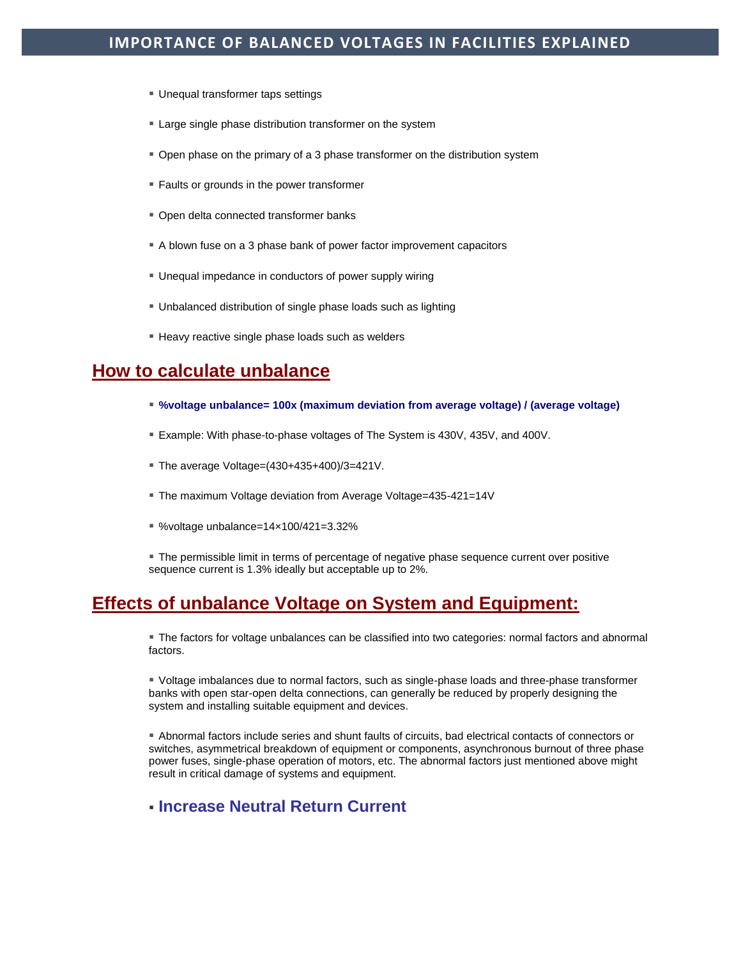- Unequal transformer taps settings
- Large single phase distribution transformer on the system
- Open phase on the primary of a 3 phase transformer on the distribution system
- **Faults or grounds in the power transformer**
- Open delta connected transformer banks
- A blown fuse on a 3 phase bank of power factor improvement capacitors
- Unequal impedance in conductors of power supply wiring
- Unbalanced distribution of single phase loads such as lighting
- Heavy reactive single phase loads such as welders

# **How to calculate unbalance**

- **%voltage unbalance= 100x (maximum deviation from average voltage) / (average voltage)**
- Example: With phase-to-phase voltages of The System is 430V, 435V, and 400V.
- The average Voltage=(430+435+400)/3=421V.
- The maximum Voltage deviation from Average Voltage=435-421=14V
- %voltage unbalance=14×100/421=3.32%
- The permissible limit in terms of percentage of negative phase sequence current over positive sequence current is 1.3% ideally but acceptable up to 2%.

# **Effects of unbalance Voltage on System and Equipment:**

 The factors for voltage unbalances can be classified into two categories: normal factors and abnormal factors.

 Voltage imbalances due to normal factors, such as single-phase loads and three-phase transformer banks with open star-open delta connections, can generally be reduced by properly designing the system and installing suitable equipment and devices.

 Abnormal factors include series and shunt faults of circuits, bad electrical contacts of connectors or switches, asymmetrical breakdown of equipment or components, asynchronous burnout of three phase power fuses, single-phase operation of motors, etc. The abnormal factors just mentioned above might result in critical damage of systems and equipment.

# **Increase Neutral Return Current**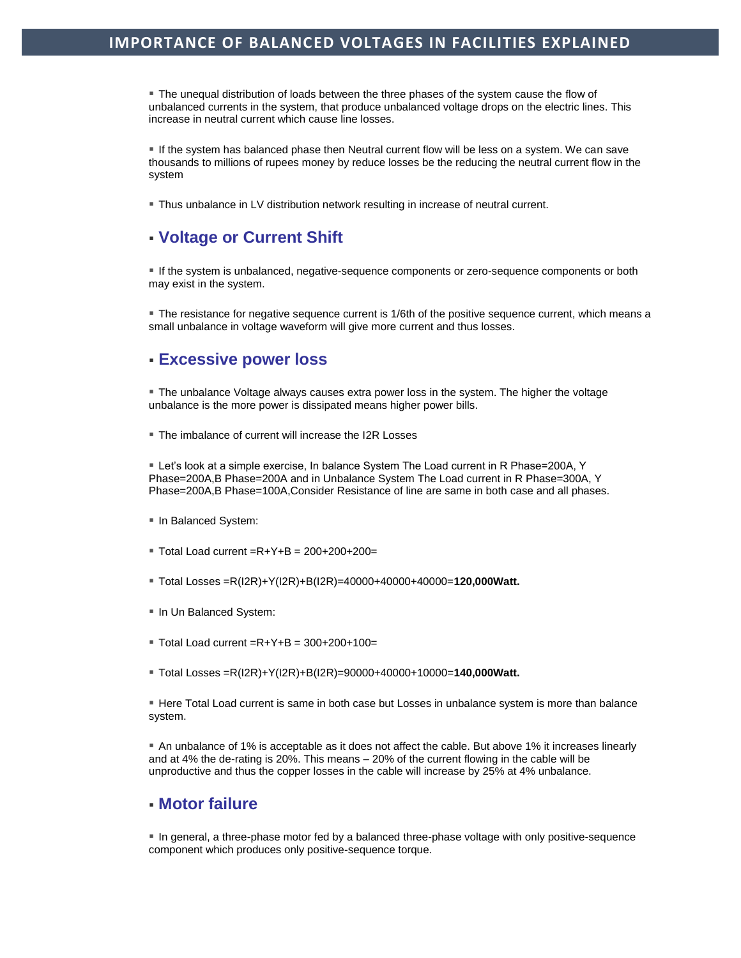The unequal distribution of loads between the three phases of the system cause the flow of unbalanced currents in the system, that produce unbalanced voltage drops on the electric lines. This increase in neutral current which cause line losses.

 If the system has balanced phase then Neutral current flow will be less on a system. We can save thousands to millions of rupees money by reduce losses be the reducing the neutral current flow in the system

Thus unbalance in LV distribution network resulting in increase of neutral current.

## **Voltage or Current Shift**

 If the system is unbalanced, negative-sequence components or zero-sequence components or both may exist in the system.

The resistance for negative sequence current is 1/6th of the positive sequence current, which means a small unbalance in voltage waveform will give more current and thus losses.

## **Excessive power loss**

 The unbalance Voltage always causes extra power loss in the system. The higher the voltage unbalance is the more power is dissipated means higher power bills.

■ The imbalance of current will increase the I2R Losses

 Let's look at a simple exercise, In balance System The Load current in R Phase=200A, Y Phase=200A,B Phase=200A and in Unbalance System The Load current in R Phase=300A, Y Phase=200A,B Phase=100A,Consider Resistance of line are same in both case and all phases.

- **In Balanced System:**
- $\blacksquare$  Total Load current =R+Y+B = 200+200+200=
- Total Losses =R(I2R)+Y(I2R)+B(I2R)=40000+40000+40000=**120,000Watt.**
- **In Un Balanced System:**
- $\blacksquare$  Total Load current =R+Y+B = 300+200+100=
- Total Losses =R(I2R)+Y(I2R)+B(I2R)=90000+40000+10000=**140,000Watt.**

 Here Total Load current is same in both case but Losses in unbalance system is more than balance system.

 An unbalance of 1% is acceptable as it does not affect the cable. But above 1% it increases linearly and at 4% the de-rating is 20%. This means – 20% of the current flowing in the cable will be unproductive and thus the copper losses in the cable will increase by 25% at 4% unbalance.

#### **Motor failure**

 In general, a three-phase motor fed by a balanced three-phase voltage with only positive-sequence component which produces only positive-sequence torque.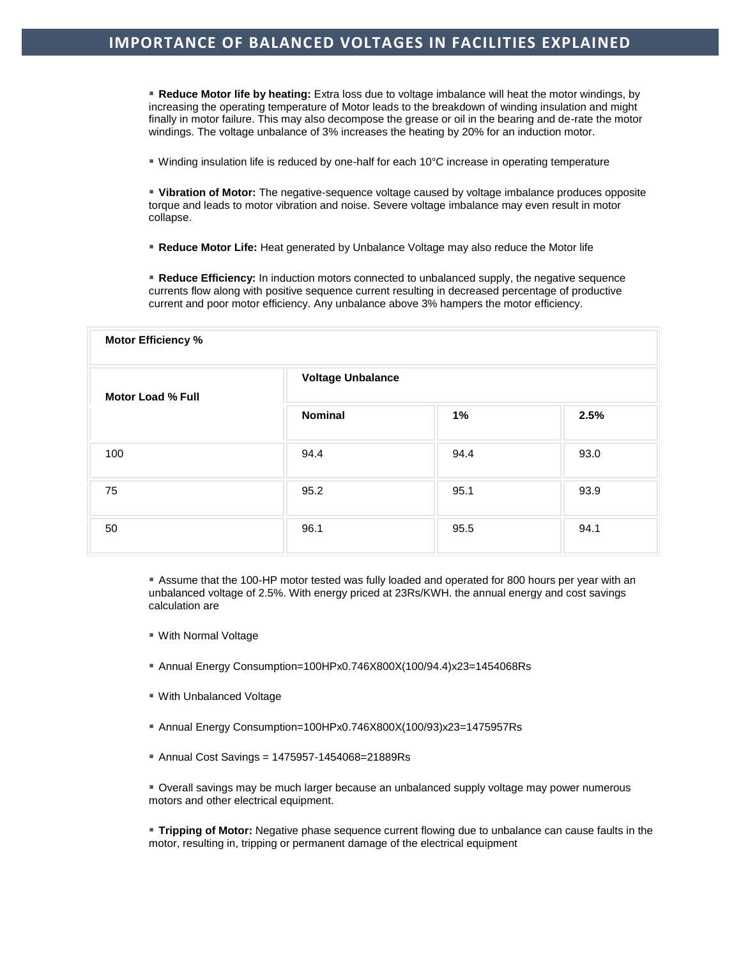**Reduce Motor life by heating:** Extra loss due to voltage imbalance will heat the motor windings, by increasing the operating temperature of Motor leads to the breakdown of winding insulation and might finally in motor failure. This may also decompose the grease or oil in the bearing and de-rate the motor windings. The voltage unbalance of 3% increases the heating by 20% for an induction motor.

■ Winding insulation life is reduced by one-half for each 10°C increase in operating temperature

 **Vibration of Motor:** The negative-sequence voltage caused by voltage imbalance produces opposite torque and leads to motor vibration and noise. Severe voltage imbalance may even result in motor collapse.

**Reduce Motor Life:** Heat generated by Unbalance Voltage may also reduce the Motor life

**Reduce Efficiency:** In induction motors connected to unbalanced supply, the negative sequence currents flow along with positive sequence current resulting in decreased percentage of productive current and poor motor efficiency. Any unbalance above 3% hampers the motor efficiency.

| Motor Efficiency %       |                          |      |      |
|--------------------------|--------------------------|------|------|
| <b>Motor Load % Full</b> | <b>Voltage Unbalance</b> |      |      |
|                          | <b>Nominal</b>           | 1%   | 2.5% |
| 100                      | 94.4                     | 94.4 | 93.0 |
| 75                       | 95.2                     | 95.1 | 93.9 |
| 50                       | 96.1                     | 95.5 | 94.1 |

 Assume that the 100-HP motor tested was fully loaded and operated for 800 hours per year with an unbalanced voltage of 2.5%. With energy priced at 23Rs/KWH. the annual energy and cost savings calculation are

- With Normal Voltage
- Annual Energy Consumption=100HPx0.746X800X(100/94.4)x23=1454068Rs
- With Unbalanced Voltage
- Annual Energy Consumption=100HPx0.746X800X(100/93)x23=1475957Rs
- Annual Cost Savings = 1475957-1454068=21889Rs

 Overall savings may be much larger because an unbalanced supply voltage may power numerous motors and other electrical equipment.

 **Tripping of Motor:** Negative phase sequence current flowing due to unbalance can cause faults in the motor, resulting in, tripping or permanent damage of the electrical equipment